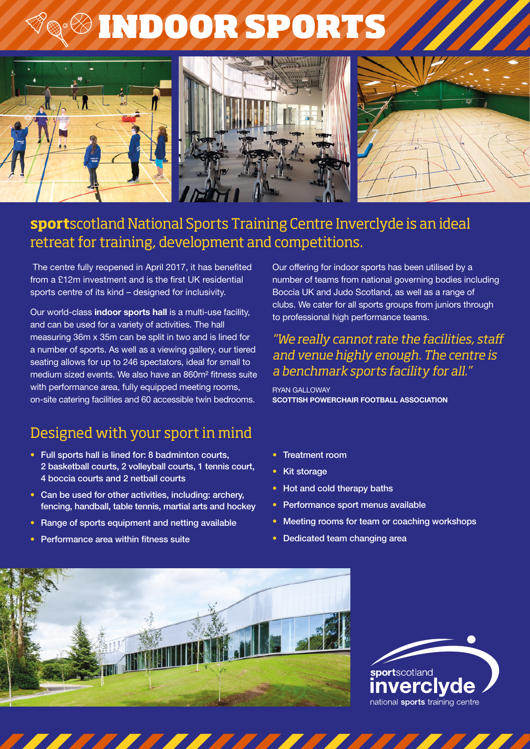# INDOOR SPORTS



## **sport**scotland National Sports Training Centre Inverclyde is an ideal retreat for training, development and competitions.

 The centre fully reopened in April 2017, it has benefited from a £12m investment and is the first UK residential sports centre of its kind – designed for inclusivity.

Our world-class **indoor sports hall** is a multi-use facility, and can be used for a variety of activities. The hall measuring 36m x 35m can be split in two and is lined for a number of sports. As well as a viewing gallery, our tiered seating allows for up to 246 spectators, ideal for small to medium sized events. We also have an 860m² fitness suite with performance area, fully equipped meeting rooms, on-site catering facilities and 60 accessible twin bedrooms.

# Designed with your sport in mind

- Full sports hall is lined for: 8 badminton courts, 2 basketball courts, 2 volleyball courts, 1 tennis court, 4 boccia courts and 2 netball courts
- Can be used for other activities, including: archery, fencing, handball, table tennis, martial arts and hockey
- Range of sports equipment and netting available
- Performance area within fitness suite

Our offering for indoor sports has been utilised by a number of teams from national governing bodies including Boccia UK and Judo Scotland, as well as a range of clubs. We cater for all sports groups from juniors through to professional high performance teams.

#### *"We really cannot rate the facilities, staff and venue highly enough. The centre is a benchmark sports facility for all."*

RYAN GALLOWAY **SCOTTISH POWERCHAIR FOOTBALL ASSOCIATION**

- Treatment room
- **Kit storage**
- Hot and cold therapy baths
- Performance sport menus available
- Meeting rooms for team or coaching workshops
- Dedicated team changing area